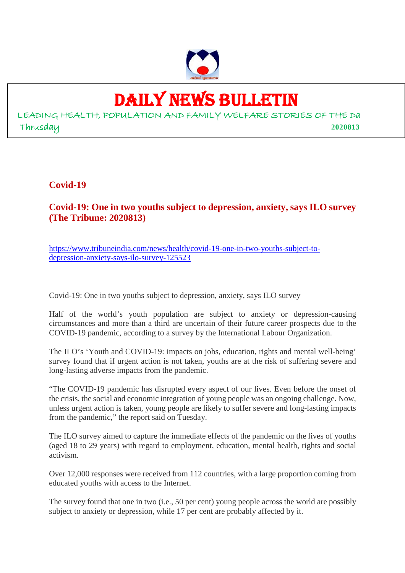

# DAILY NEWS BULLETIN

LEADING HEALTH, POPULATION AND FAMILY WELFARE STORIES OF THE Da Thrusday **2020813**

**Covid-19**

**Covid-19: One in two youths subject to depression, anxiety, says ILO survey (The Tribune: 2020813)**

https://www.tribuneindia.com/news/health/covid-19-one-in-two-youths-subject-todepression-anxiety-says-ilo-survey-125523

Covid-19: One in two youths subject to depression, anxiety, says ILO survey

Half of the world's youth population are subject to anxiety or depression-causing circumstances and more than a third are uncertain of their future career prospects due to the COVID-19 pandemic, according to a survey by the International Labour Organization.

The ILO's 'Youth and COVID-19: impacts on jobs, education, rights and mental well-being' survey found that if urgent action is not taken, youths are at the risk of suffering severe and long-lasting adverse impacts from the pandemic.

"The COVID-19 pandemic has disrupted every aspect of our lives. Even before the onset of the crisis, the social and economic integration of young people was an ongoing challenge. Now, unless urgent action is taken, young people are likely to suffer severe and long-lasting impacts from the pandemic," the report said on Tuesday.

The ILO survey aimed to capture the immediate effects of the pandemic on the lives of youths (aged 18 to 29 years) with regard to employment, education, mental health, rights and social activism.

Over 12,000 responses were received from 112 countries, with a large proportion coming from educated youths with access to the Internet.

The survey found that one in two (i.e., 50 per cent) young people across the world are possibly subject to anxiety or depression, while 17 per cent are probably affected by it.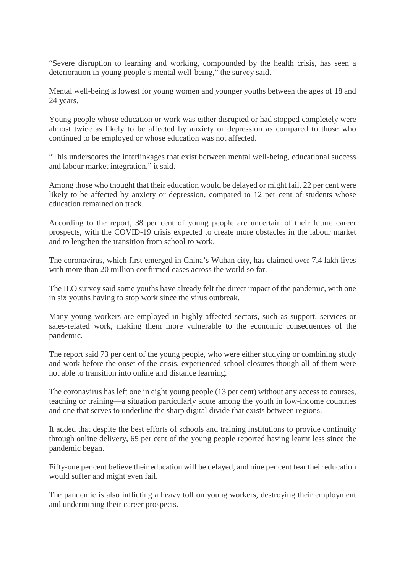"Severe disruption to learning and working, compounded by the health crisis, has seen a deterioration in young people's mental well-being," the survey said.

Mental well-being is lowest for young women and younger youths between the ages of 18 and 24 years.

Young people whose education or work was either disrupted or had stopped completely were almost twice as likely to be affected by anxiety or depression as compared to those who continued to be employed or whose education was not affected.

"This underscores the interlinkages that exist between mental well-being, educational success and labour market integration," it said.

Among those who thought that their education would be delayed or might fail, 22 per cent were likely to be affected by anxiety or depression, compared to 12 per cent of students whose education remained on track.

According to the report, 38 per cent of young people are uncertain of their future career prospects, with the COVID-19 crisis expected to create more obstacles in the labour market and to lengthen the transition from school to work.

The coronavirus, which first emerged in China's Wuhan city, has claimed over 7.4 lakh lives with more than 20 million confirmed cases across the world so far.

The ILO survey said some youths have already felt the direct impact of the pandemic, with one in six youths having to stop work since the virus outbreak.

Many young workers are employed in highly-affected sectors, such as support, services or sales-related work, making them more vulnerable to the economic consequences of the pandemic.

The report said 73 per cent of the young people, who were either studying or combining study and work before the onset of the crisis, experienced school closures though all of them were not able to transition into online and distance learning.

The coronavirus has left one in eight young people (13 per cent) without any access to courses, teaching or training—a situation particularly acute among the youth in low-income countries and one that serves to underline the sharp digital divide that exists between regions.

It added that despite the best efforts of schools and training institutions to provide continuity through online delivery, 65 per cent of the young people reported having learnt less since the pandemic began.

Fifty-one per cent believe their education will be delayed, and nine per cent fear their education would suffer and might even fail.

The pandemic is also inflicting a heavy toll on young workers, destroying their employment and undermining their career prospects.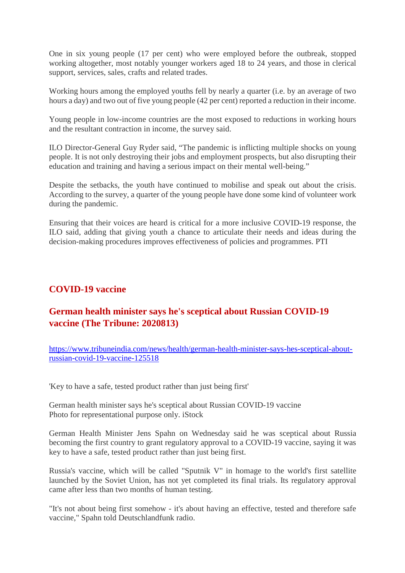One in six young people (17 per cent) who were employed before the outbreak, stopped working altogether, most notably younger workers aged 18 to 24 years, and those in clerical support, services, sales, crafts and related trades.

Working hours among the employed youths fell by nearly a quarter (i.e. by an average of two hours a day) and two out of five young people (42 per cent) reported a reduction in their income.

Young people in low-income countries are the most exposed to reductions in working hours and the resultant contraction in income, the survey said.

ILO Director-General Guy Ryder said, "The pandemic is inflicting multiple shocks on young people. It is not only destroying their jobs and employment prospects, but also disrupting their education and training and having a serious impact on their mental well-being."

Despite the setbacks, the youth have continued to mobilise and speak out about the crisis. According to the survey, a quarter of the young people have done some kind of volunteer work during the pandemic.

Ensuring that their voices are heard is critical for a more inclusive COVID-19 response, the ILO said, adding that giving youth a chance to articulate their needs and ideas during the decision-making procedures improves effectiveness of policies and programmes. PTI

#### **COVID-19 vaccine**

### **German health minister says he's sceptical about Russian COVID-19 vaccine (The Tribune: 2020813)**

https://www.tribuneindia.com/news/health/german-health-minister-says-hes-sceptical-aboutrussian-covid-19-vaccine-125518

'Key to have a safe, tested product rather than just being first'

German health minister says he's sceptical about Russian COVID-19 vaccine Photo for representational purpose only. iStock

German Health Minister Jens Spahn on Wednesday said he was sceptical about Russia becoming the first country to grant regulatory approval to a COVID-19 vaccine, saying it was key to have a safe, tested product rather than just being first.

Russia's vaccine, which will be called "Sputnik V" in homage to the world's first satellite launched by the Soviet Union, has not yet completed its final trials. Its regulatory approval came after less than two months of human testing.

"It's not about being first somehow - it's about having an effective, tested and therefore safe vaccine," Spahn told Deutschlandfunk radio.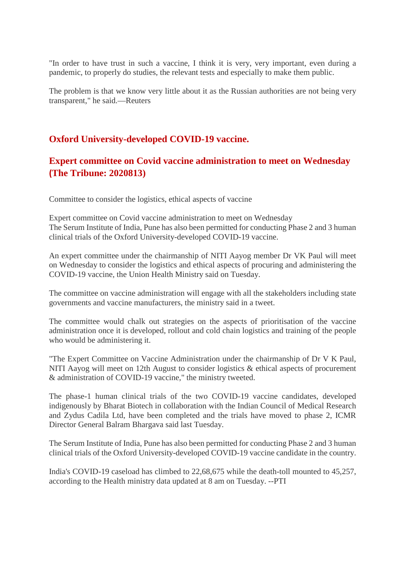"In order to have trust in such a vaccine, I think it is very, very important, even during a pandemic, to properly do studies, the relevant tests and especially to make them public.

The problem is that we know very little about it as the Russian authorities are not being very transparent," he said.—Reuters

#### **Oxford University-developed COVID-19 vaccine.**

## **Expert committee on Covid vaccine administration to meet on Wednesday (The Tribune: 2020813)**

Committee to consider the logistics, ethical aspects of vaccine

Expert committee on Covid vaccine administration to meet on Wednesday The Serum Institute of India, Pune has also been permitted for conducting Phase 2 and 3 human clinical trials of the Oxford University-developed COVID-19 vaccine.

An expert committee under the chairmanship of NITI Aayog member Dr VK Paul will meet on Wednesday to consider the logistics and ethical aspects of procuring and administering the COVID-19 vaccine, the Union Health Ministry said on Tuesday.

The committee on vaccine administration will engage with all the stakeholders including state governments and vaccine manufacturers, the ministry said in a tweet.

The committee would chalk out strategies on the aspects of prioritisation of the vaccine administration once it is developed, rollout and cold chain logistics and training of the people who would be administering it.

"The Expert Committee on Vaccine Administration under the chairmanship of Dr V K Paul, NITI Aayog will meet on 12th August to consider logistics & ethical aspects of procurement & administration of COVID-19 vaccine," the ministry tweeted.

The phase-1 human clinical trials of the two COVID-19 vaccine candidates, developed indigenously by Bharat Biotech in collaboration with the Indian Council of Medical Research and Zydus Cadila Ltd, have been completed and the trials have moved to phase 2, ICMR Director General Balram Bhargava said last Tuesday.

The Serum Institute of India, Pune has also been permitted for conducting Phase 2 and 3 human clinical trials of the Oxford University-developed COVID-19 vaccine candidate in the country.

India's COVID-19 caseload has climbed to 22,68,675 while the death-toll mounted to 45,257, according to the Health ministry data updated at 8 am on Tuesday. --PTI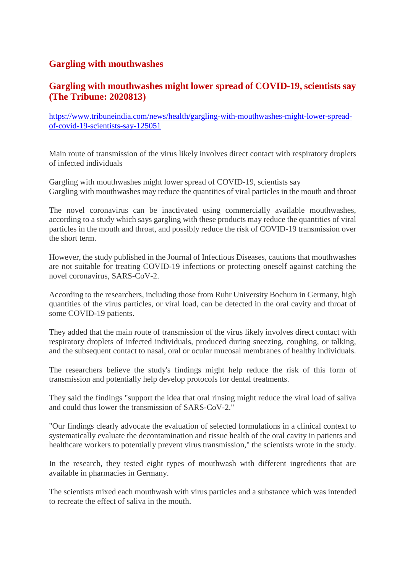#### **Gargling with mouthwashes**

#### **Gargling with mouthwashes might lower spread of COVID-19, scientists say (The Tribune: 2020813)**

https://www.tribuneindia.com/news/health/gargling-with-mouthwashes-might-lower-spreadof-covid-19-scientists-say-125051

Main route of transmission of the virus likely involves direct contact with respiratory droplets of infected individuals

Gargling with mouthwashes might lower spread of COVID-19, scientists say Gargling with mouthwashes may reduce the quantities of viral particles in the mouth and throat

The novel coronavirus can be inactivated using commercially available mouthwashes, according to a study which says gargling with these products may reduce the quantities of viral particles in the mouth and throat, and possibly reduce the risk of COVID-19 transmission over the short term.

However, the study published in the Journal of Infectious Diseases, cautions that mouthwashes are not suitable for treating COVID-19 infections or protecting oneself against catching the novel coronavirus, SARS-CoV-2.

According to the researchers, including those from Ruhr University Bochum in Germany, high quantities of the virus particles, or viral load, can be detected in the oral cavity and throat of some COVID-19 patients.

They added that the main route of transmission of the virus likely involves direct contact with respiratory droplets of infected individuals, produced during sneezing, coughing, or talking, and the subsequent contact to nasal, oral or ocular mucosal membranes of healthy individuals.

The researchers believe the study's findings might help reduce the risk of this form of transmission and potentially help develop protocols for dental treatments.

They said the findings "support the idea that oral rinsing might reduce the viral load of saliva and could thus lower the transmission of SARS-CoV-2."

"Our findings clearly advocate the evaluation of selected formulations in a clinical context to systematically evaluate the decontamination and tissue health of the oral cavity in patients and healthcare workers to potentially prevent virus transmission," the scientists wrote in the study.

In the research, they tested eight types of mouthwash with different ingredients that are available in pharmacies in Germany.

The scientists mixed each mouthwash with virus particles and a substance which was intended to recreate the effect of saliva in the mouth.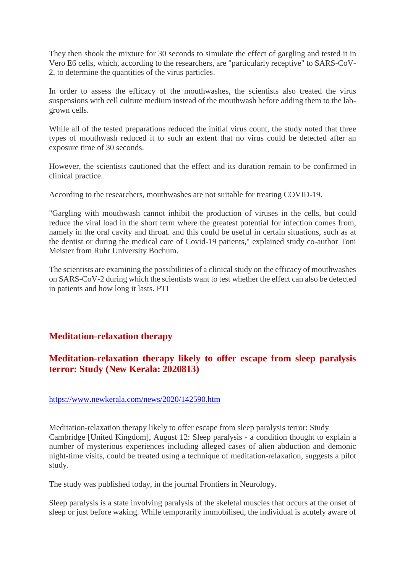They then shook the mixture for 30 seconds to simulate the effect of gargling and tested it in Vero E6 cells, which, according to the researchers, are "particularly receptive" to SARS-CoV-2, to determine the quantities of the virus particles.

In order to assess the efficacy of the mouthwashes, the scientists also treated the virus suspensions with cell culture medium instead of the mouthwash before adding them to the labgrown cells.

While all of the tested preparations reduced the initial virus count, the study noted that three types of mouthwash reduced it to such an extent that no virus could be detected after an exposure time of 30 seconds.

However, the scientists cautioned that the effect and its duration remain to be confirmed in clinical practice.

According to the researchers, mouthwashes are not suitable for treating COVID-19.

"Gargling with mouthwash cannot inhibit the production of viruses in the cells, but could reduce the viral load in the short term where the greatest potential for infection comes from, namely in the oral cavity and throat. and this could be useful in certain situations, such as at the dentist or during the medical care of Covid-19 patients," explained study co-author Toni Meister from Ruhr University Bochum.

The scientists are examining the possibilities of a clinical study on the efficacy of mouthwashes on SARS-CoV-2 during which the scientists want to test whether the effect can also be detected in patients and how long it lasts. PTI

#### **Meditation-relaxation therapy**

### **Meditation-relaxation therapy likely to offer escape from sleep paralysis terror: Study (New Kerala: 2020813)**

#### https://www.newkerala.com/news/2020/142590.htm

Meditation-relaxation therapy likely to offer escape from sleep paralysis terror: Study Cambridge [United Kingdom], August 12: Sleep paralysis - a condition thought to explain a number of mysterious experiences including alleged cases of alien abduction and demonic night-time visits, could be treated using a technique of meditation-relaxation, suggests a pilot study.

The study was published today, in the journal Frontiers in Neurology.

Sleep paralysis is a state involving paralysis of the skeletal muscles that occurs at the onset of sleep or just before waking. While temporarily immobilised, the individual is acutely aware of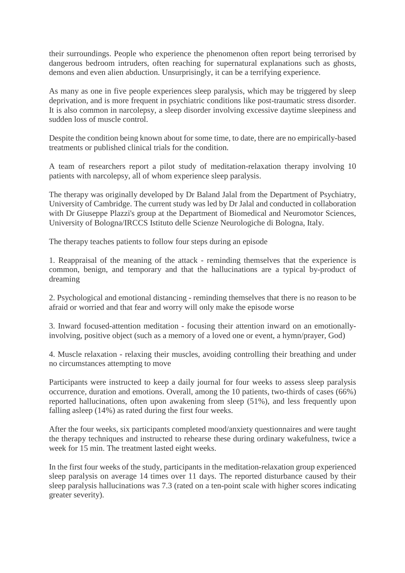their surroundings. People who experience the phenomenon often report being terrorised by dangerous bedroom intruders, often reaching for supernatural explanations such as ghosts, demons and even alien abduction. Unsurprisingly, it can be a terrifying experience.

As many as one in five people experiences sleep paralysis, which may be triggered by sleep deprivation, and is more frequent in psychiatric conditions like post-traumatic stress disorder. It is also common in narcolepsy, a sleep disorder involving excessive daytime sleepiness and sudden loss of muscle control.

Despite the condition being known about for some time, to date, there are no empirically-based treatments or published clinical trials for the condition.

A team of researchers report a pilot study of meditation-relaxation therapy involving 10 patients with narcolepsy, all of whom experience sleep paralysis.

The therapy was originally developed by Dr Baland Jalal from the Department of Psychiatry, University of Cambridge. The current study was led by Dr Jalal and conducted in collaboration with Dr Giuseppe Plazzi's group at the Department of Biomedical and Neuromotor Sciences, University of Bologna/IRCCS Istituto delle Scienze Neurologiche di Bologna, Italy.

The therapy teaches patients to follow four steps during an episode

1. Reappraisal of the meaning of the attack - reminding themselves that the experience is common, benign, and temporary and that the hallucinations are a typical by-product of dreaming

2. Psychological and emotional distancing - reminding themselves that there is no reason to be afraid or worried and that fear and worry will only make the episode worse

3. Inward focused-attention meditation - focusing their attention inward on an emotionallyinvolving, positive object (such as a memory of a loved one or event, a hymn/prayer, God)

4. Muscle relaxation - relaxing their muscles, avoiding controlling their breathing and under no circumstances attempting to move

Participants were instructed to keep a daily journal for four weeks to assess sleep paralysis occurrence, duration and emotions. Overall, among the 10 patients, two-thirds of cases (66%) reported hallucinations, often upon awakening from sleep (51%), and less frequently upon falling asleep (14%) as rated during the first four weeks.

After the four weeks, six participants completed mood/anxiety questionnaires and were taught the therapy techniques and instructed to rehearse these during ordinary wakefulness, twice a week for 15 min. The treatment lasted eight weeks.

In the first four weeks of the study, participants in the meditation-relaxation group experienced sleep paralysis on average 14 times over 11 days. The reported disturbance caused by their sleep paralysis hallucinations was 7.3 (rated on a ten-point scale with higher scores indicating greater severity).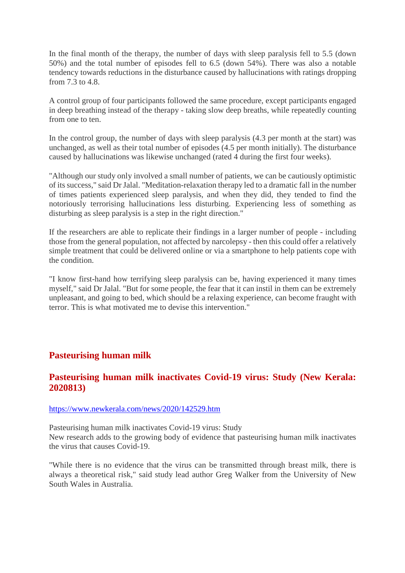In the final month of the therapy, the number of days with sleep paralysis fell to 5.5 (down 50%) and the total number of episodes fell to 6.5 (down 54%). There was also a notable tendency towards reductions in the disturbance caused by hallucinations with ratings dropping from 7.3 to 4.8.

A control group of four participants followed the same procedure, except participants engaged in deep breathing instead of the therapy - taking slow deep breaths, while repeatedly counting from one to ten

In the control group, the number of days with sleep paralysis (4.3 per month at the start) was unchanged, as well as their total number of episodes (4.5 per month initially). The disturbance caused by hallucinations was likewise unchanged (rated 4 during the first four weeks).

"Although our study only involved a small number of patients, we can be cautiously optimistic of its success," said Dr Jalal. "Meditation-relaxation therapy led to a dramatic fall in the number of times patients experienced sleep paralysis, and when they did, they tended to find the notoriously terrorising hallucinations less disturbing. Experiencing less of something as disturbing as sleep paralysis is a step in the right direction."

If the researchers are able to replicate their findings in a larger number of people - including those from the general population, not affected by narcolepsy - then this could offer a relatively simple treatment that could be delivered online or via a smartphone to help patients cope with the condition.

"I know first-hand how terrifying sleep paralysis can be, having experienced it many times myself," said Dr Jalal. "But for some people, the fear that it can instil in them can be extremely unpleasant, and going to bed, which should be a relaxing experience, can become fraught with terror. This is what motivated me to devise this intervention."

#### **Pasteurising human milk**

#### **Pasteurising human milk inactivates Covid-19 virus: Study (New Kerala: 2020813)**

https://www.newkerala.com/news/2020/142529.htm

Pasteurising human milk inactivates Covid-19 virus: Study New research adds to the growing body of evidence that pasteurising human milk inactivates the virus that causes Covid-19.

"While there is no evidence that the virus can be transmitted through breast milk, there is always a theoretical risk," said study lead author Greg Walker from the University of New South Wales in Australia.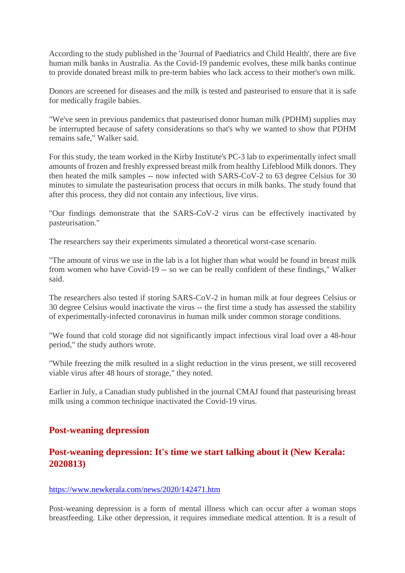According to the study published in the 'Journal of Paediatrics and Child Health', there are five human milk banks in Australia. As the Covid-19 pandemic evolves, these milk banks continue to provide donated breast milk to pre-term babies who lack access to their mother's own milk.

Donors are screened for diseases and the milk is tested and pasteurised to ensure that it is safe for medically fragile babies.

"We've seen in previous pandemics that pasteurised donor human milk (PDHM) supplies may be interrupted because of safety considerations so that's why we wanted to show that PDHM remains safe," Walker said.

For this study, the team worked in the Kirby Institute's PC-3 lab to experimentally infect small amounts of frozen and freshly expressed breast milk from healthy Lifeblood Milk donors. They then heated the milk samples -- now infected with SARS-CoV-2 to 63 degree Celsius for 30 minutes to simulate the pasteurisation process that occurs in milk banks. The study found that after this process, they did not contain any infectious, live virus.

"Our findings demonstrate that the SARS-CoV-2 virus can be effectively inactivated by pasteurisation."

The researchers say their experiments simulated a theoretical worst-case scenario.

"The amount of virus we use in the lab is a lot higher than what would be found in breast milk from women who have Covid-19 -- so we can be really confident of these findings," Walker said.

The researchers also tested if storing SARS-CoV-2 in human milk at four degrees Celsius or 30 degree Celsius would inactivate the virus -- the first time a study has assessed the stability of experimentally-infected coronavirus in human milk under common storage conditions.

"We found that cold storage did not significantly impact infectious viral load over a 48-hour period," the study authors wrote.

"While freezing the milk resulted in a slight reduction in the virus present, we still recovered viable virus after 48 hours of storage," they noted.

Earlier in July, a Canadian study published in the journal CMAJ found that pasteurising breast milk using a common technique inactivated the Covid-19 virus.

#### **Post-weaning depression**

#### **Post-weaning depression: It's time we start talking about it (New Kerala: 2020813)**

#### https://www.newkerala.com/news/2020/142471.htm

Post-weaning depression is a form of mental illness which can occur after a woman stops breastfeeding. Like other depression, it requires immediate medical attention. It is a result of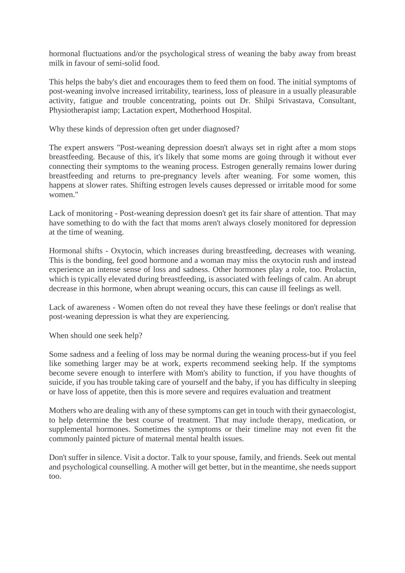hormonal fluctuations and/or the psychological stress of weaning the baby away from breast milk in favour of semi-solid food.

This helps the baby's diet and encourages them to feed them on food. The initial symptoms of post-weaning involve increased irritability, teariness, loss of pleasure in a usually pleasurable activity, fatigue and trouble concentrating, points out Dr. Shilpi Srivastava, Consultant, Physiotherapist iamp; Lactation expert, Motherhood Hospital.

Why these kinds of depression often get under diagnosed?

The expert answers "Post-weaning depression doesn't always set in right after a mom stops breastfeeding. Because of this, it's likely that some moms are going through it without ever connecting their symptoms to the weaning process. Estrogen generally remains lower during breastfeeding and returns to pre-pregnancy levels after weaning. For some women, this happens at slower rates. Shifting estrogen levels causes depressed or irritable mood for some women."

Lack of monitoring - Post-weaning depression doesn't get its fair share of attention. That may have something to do with the fact that moms aren't always closely monitored for depression at the time of weaning.

Hormonal shifts - Oxytocin, which increases during breastfeeding, decreases with weaning. This is the bonding, feel good hormone and a woman may miss the oxytocin rush and instead experience an intense sense of loss and sadness. Other hormones play a role, too. Prolactin, which is typically elevated during breastfeeding, is associated with feelings of calm. An abrupt decrease in this hormone, when abrupt weaning occurs, this can cause ill feelings as well.

Lack of awareness - Women often do not reveal they have these feelings or don't realise that post-weaning depression is what they are experiencing.

When should one seek help?

Some sadness and a feeling of loss may be normal during the weaning process-but if you feel like something larger may be at work, experts recommend seeking help. If the symptoms become severe enough to interfere with Mom's ability to function, if you have thoughts of suicide, if you has trouble taking care of yourself and the baby, if you has difficulty in sleeping or have loss of appetite, then this is more severe and requires evaluation and treatment

Mothers who are dealing with any of these symptoms can get in touch with their gynaecologist, to help determine the best course of treatment. That may include therapy, medication, or supplemental hormones. Sometimes the symptoms or their timeline may not even fit the commonly painted picture of maternal mental health issues.

Don't suffer in silence. Visit a doctor. Talk to your spouse, family, and friends. Seek out mental and psychological counselling. A mother will get better, but in the meantime, she needs support too.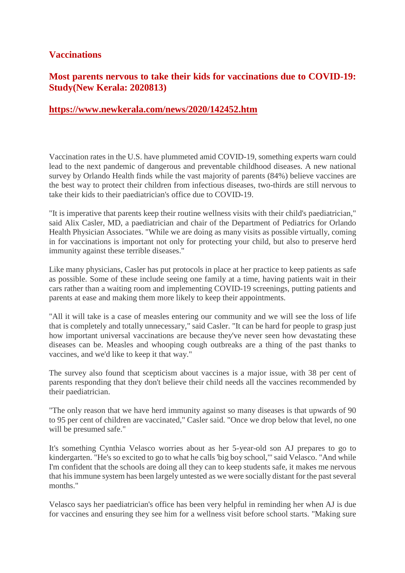#### **Vaccinations**

### **Most parents nervous to take their kids for vaccinations due to COVID-19: Study(New Kerala: 2020813)**

#### **https://www.newkerala.com/news/2020/142452.htm**

Vaccination rates in the U.S. have plummeted amid COVID-19, something experts warn could lead to the next pandemic of dangerous and preventable childhood diseases. A new national survey by Orlando Health finds while the vast majority of parents (84%) believe vaccines are the best way to protect their children from infectious diseases, two-thirds are still nervous to take their kids to their paediatrician's office due to COVID-19.

"It is imperative that parents keep their routine wellness visits with their child's paediatrician," said Alix Casler, MD, a paediatrician and chair of the Department of Pediatrics for Orlando Health Physician Associates. "While we are doing as many visits as possible virtually, coming in for vaccinations is important not only for protecting your child, but also to preserve herd immunity against these terrible diseases."

Like many physicians, Casler has put protocols in place at her practice to keep patients as safe as possible. Some of these include seeing one family at a time, having patients wait in their cars rather than a waiting room and implementing COVID-19 screenings, putting patients and parents at ease and making them more likely to keep their appointments.

"All it will take is a case of measles entering our community and we will see the loss of life that is completely and totally unnecessary," said Casler. "It can be hard for people to grasp just how important universal vaccinations are because they've never seen how devastating these diseases can be. Measles and whooping cough outbreaks are a thing of the past thanks to vaccines, and we'd like to keep it that way."

The survey also found that scepticism about vaccines is a major issue, with 38 per cent of parents responding that they don't believe their child needs all the vaccines recommended by their paediatrician.

"The only reason that we have herd immunity against so many diseases is that upwards of 90 to 95 per cent of children are vaccinated," Casler said. "Once we drop below that level, no one will be presumed safe."

It's something Cynthia Velasco worries about as her 5-year-old son AJ prepares to go to kindergarten. "He's so excited to go to what he calls 'big boy school,'" said Velasco. "And while I'm confident that the schools are doing all they can to keep students safe, it makes me nervous that his immune system has been largely untested as we were socially distant for the past several months."

Velasco says her paediatrician's office has been very helpful in reminding her when AJ is due for vaccines and ensuring they see him for a wellness visit before school starts. "Making sure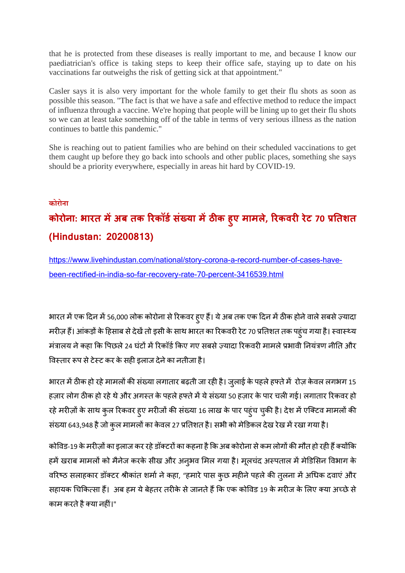that he is protected from these diseases is really important to me, and because I know our paediatrician's office is taking steps to keep their office safe, staying up to date on his vaccinations far outweighs the risk of getting sick at that appointment."

Casler says it is also very important for the whole family to get their flu shots as soon as possible this season. "The fact is that we have a safe and effective method to reduce the impact of influenza through a vaccine. We're hoping that people will be lining up to get their flu shots so we can at least take something off of the table in terms of very serious illness as the nation continues to battle this pandemic."

She is reaching out to patient families who are behind on their scheduled vaccinations to get them caught up before they go back into schools and other public places, something she says should be a priority everywhere, especially in areas hit hard by COVID-19.

#### **कोरोना**

# **कोरोना: भारत मअब तक रकॉडसं या मठक ह ु ए मामले, रकवररेट 70 तशत (Hindustan: 20200813)**

https://www.livehindustan.com/national/story-corona-a-record-number-of-cases-havebeen-rectified-in-india-so-far-recovery-rate-70-percent-3416539.html

भारत में एक दिन में 56,000 लोक कोरोना से रिकवर हुए हैं। ये अब तक एक दिन में ठीक होने वाले सबसे ज़्यादा मरीज़ हैं। आंकड़ों के हिसाब से देखें तो इसी के साथ भारत का रिकवरी रेट 70 प्रतिशत तक पहुंच गया है। स्वास्थ्य मंत्रालय ने कहा कि पिछले 24 घंटों में रिकॉर्ड किए गए सबसे ज़्यादा रिकवरी मामले प्रभावी नियंत्रण नीति और विस्तार रूप से टेस्ट कर के सही इलाज देने का नतीजा है।

भारत में ठीक हो रहे मामलों की संख्या लगातार बढ़ती जा रही है। जुलाई के पहले हफ्ते में रोज़ केवल लगभग 15 हज़ार लोग ठीक हो रहे थे और अगस्त के पहले हफ्ते में ये संख्या 50 हज़ार के पार चली गई। लगातार रिकवर हो रहे मरीज़ों के साथ कुल रिकवर हुए मरीजों की संख्या 16 लाख के पार पहुंच चुकी है। देश में एक्टिव मामलों की संख्या 643,948 है जो कुल मामलों का केवल 27 प्रतिशत है। सभी को मेडिकल देख रेख में रखा गया है।

कोविड-19 के मरीज़ों का इलाज कर रहे डॉक्टरों का कहना है कि अब कोरोना से कम लोगों की मौत हो रही हैं क्योंकि हमें खराब मामलों को मैनेज करके सीख और अनुभव मिल गया है। मूलचंद अस्पताल में मेडिसिन विभाग के वरिष्ठ सलाहकार डॉक्टर श्रीकांत शर्मा ने कहा, "हमारे पास कुछ महीने पहले की तुलना में अधिक दवाएं और सहायक चिकित्सा हैं। अब हम ये बेहतर तरीके से जानते हैं कि एक कोविड 19 के मरीज के लिए क्या अच्छे से काम करते है क्या नहीं।"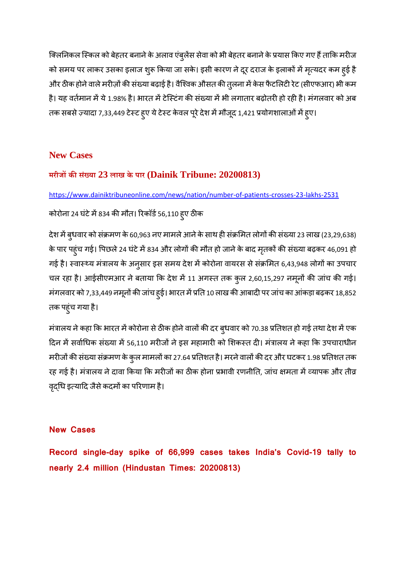क्लिनिकल स्किल को बेहतर बनाने के अलाव एंबुलेंस सेवा को भी बेहतर बनाने के प्रयास किए गए हैं ताकि मरीज को समय पर लाकर उसका इलाज शुरू किया जा सके। इसी कारण ने दूर दराज के इलाकों में मृत्यदर कम हुई है और ठीक होने वाले मरीज़ों की संख्या बढ़ाई है। वैश्विक औसत की तुलना में केस फैटलिटी रेट (सीएफआर) भी कम है। यह वर्तमान में ये 1.98% है। भारत में टेस्टिंग की संख्या में भी लगातार बढ़ोतरी हो रही है। मंगलवार को अब तक सबसे ज़्यादा 7,33,449 टेस्ट हुए ये टेस्ट केवल पूरे देश में मौजूद 1,421 प्रयोगशालाओं में हुए।

#### **New Cases**

#### **मरीजकसं या 23 लाख के पार (Dainik Tribune: 20200813)**

https://www.dainiktribuneonline.com/news/nation/number-of-patients-crosses-23-lakhs-2531

# कोरोना 24 घंटे में 834 की मौत। रिकॉर्ड 56,110 हुए ठीक

देश में बुधवार को संक्रमण के 60,963 नए मामले आने के साथ ही संक्रमित लोगों की संख्या 23 लाख (23,29,638) के पार पहुंच गई। पिछले 24 घंटे में 834 और लोगों की मौत हो जाने के बाद मृतकों की संख्या बढ़कर 46,091 हो गई है। स्वास्थ्य मंत्रालय के अनुसार इस समय देश में कोरोना वायरस से संक्रमित 6,43,948 लोगों का उपचार चल रहा है। आईसीएमआर ने बताया कि देश में 11 अगस्त तक कुल 2,60,15,297 नमूनों की जांच की गई। मंगलवार को 7,33,449 नमूनों की जांच हुई। भारत में प्रति 10 लाख की आबादी पर जांच का आंकड़ा बढ़कर 18,852 तक पहुंच गया है।

मंत्रालय ने कहा कि भारत में कोरोना से ठीक होने वालों की दर ब्धवार को 70.38 प्रतिशत हो गई तथा देश में एक दिन में सर्वाधिक संख्या में 56,110 मरीजों ने इस महामारी को शिकस्त दी। मंत्रालय ने कहा कि उपचाराधीन मरीजों की संख्या संक्रमण के कुल मामलों का 27.64 प्रतिशत है। मरने वालों की दर और घटकर 1.98 प्रतिशत तक रह गई है। मंत्रालय ने दावा किया कि मरीजों का ठीक होना प्रभावी रणनीति, जांच क्षमता में व्यापक और तीव्र वृदधि इत्यादि जैसे कदमों का परिणाम है।

#### **New Cases**

**Record single-day spike of 66,999 cases takes India's Covid-19 tally to nearly 2.4 million (Hindustan Times: 20200813)**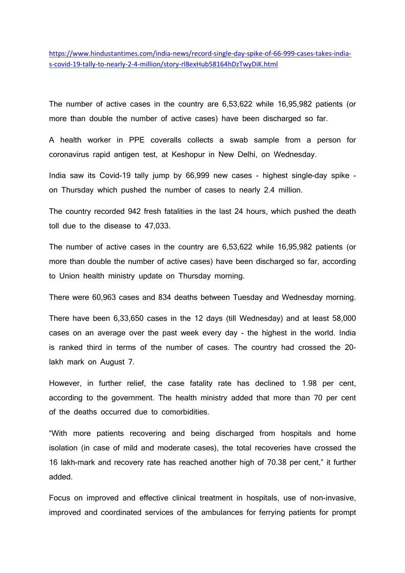https://www.hindustantimes.com/india-news/record-single-day-spike-of-66-999-cases-takes-indias-covid-19-tally-to-nearly-2-4-million/story-rl8exHub58164hDzTwyDiK.html

The number of active cases in the country are 6,53,622 while 16,95,982 patients (or more than double the number of active cases) have been discharged so far.

A health worker in PPE coveralls collects a swab sample from a person for coronavirus rapid antigen test, at Keshopur in New Delhi, on Wednesday.

India saw its Covid-19 tally jump by 66,999 new cases - highest single-day spike on Thursday which pushed the number of cases to nearly 2.4 million.

The country recorded 942 fresh fatalities in the last 24 hours, which pushed the death toll due to the disease to 47,033.

The number of active cases in the country are 6,53,622 while 16,95,982 patients (or more than double the number of active cases) have been discharged so far, according to Union health ministry update on Thursday morning.

There were 60,963 cases and 834 deaths between Tuesday and Wednesday morning.

There have been 6,33,650 cases in the 12 days (till Wednesday) and at least 58,000 cases on an average over the past week every day - the highest in the world. India is ranked third in terms of the number of cases. The country had crossed the 20 lakh mark on August 7.

However, in further relief, the case fatality rate has declined to 1.98 per cent, according to the government. The health ministry added that more than 70 per cent of the deaths occurred due to comorbidities.

"With more patients recovering and being discharged from hospitals and home isolation (in case of mild and moderate cases), the total recoveries have crossed the 16 lakh-mark and recovery rate has reached another high of 70.38 per cent," it further added.

Focus on improved and effective clinical treatment in hospitals, use of non-invasive, improved and coordinated services of the ambulances for ferrying patients for prompt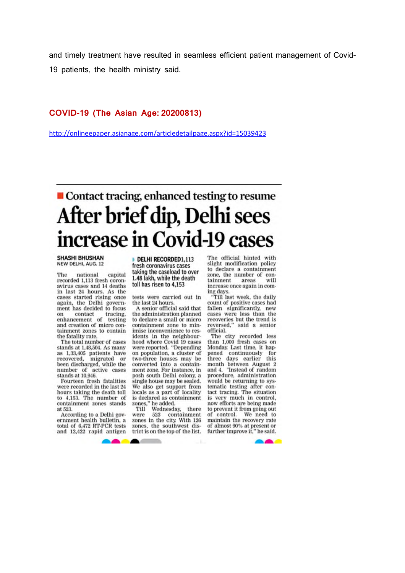and timely treatment have resulted in seamless efficient patient management of Covid-19 patients, the health ministry said.

#### **COVID-19 (The Asian Age: 20200813)**

http://onlineepaper.asianage.com/articledetailpage.aspx?id=15039423

# ■ Contact tracing, enhanced testing to resume After brief dip, Delhi sees increase in Covid-19 cases

**SHASHI BHUSHAN** NEW DELHI, AUG. 12

The national capital recorded 1,113 fresh coronavirus cases and 14 deaths in last 24 hours. As the cases started rising once again, the Delhi government has decided to focus on contact tracing,<br>enhancement of testing and creation of micro containment zones to contain the fatality rate.

The total number of cases stands at 1,48,504. As many as 1,33,405 patients have recovered. migrated been discharged, while the number of active cases stands at 10,946.

Fourteen fresh fatalities were recorded in the last 24 hours taking the death toll to 4,153. The number of containment zones stands at 523.

According to a Delhi government health bulletin, a total of 6,472 RT-PCR tests and 12,422 rapid antigen

DELHI RECORDED1.113 fresh coronavirus cases taking the caseload to over 1.48 lakh, while the death toll has risen to 4,153

tests were carried out in the last 24 hours

A senior official said that the administration planned to declare a small or micro containment zone to minimise inconvenience to residents in the neighbourhood where Covid 19 cases were reported. "Depending on population, a cluster of two-three houses may be converted into a containment zone. For instance, in posh south Delhi colony, a single house may be sealed. We also get support from locals as a part of locality is declared as containment zones," he added.

there Till Wednesday. 523 containment were zones in the city. With 126 zones, the southwest district is on the top of the list. The official hinted with slight modification policy to declare a containment zone, the number of containment areas will increase once again in com-

ing days.<br>"Till last week, the daily count of positive cases had fallen significantly, new cases were less than the recoveries but the trend is<br>reversed," said a senior official.

The city recorded less than 1,000 fresh cases on Monday. Last time, it happened continuously for this three days earlier month between August 2<br>and 4. "Instead of random procedure, administration would be returning to systematic testing after con-<br>tact tracing. The situation is very much in control,<br>now efforts are being made to prevent it from going out of control. We need to maintain the recovery rate of almost 90% at present or<br>further improve it," he said.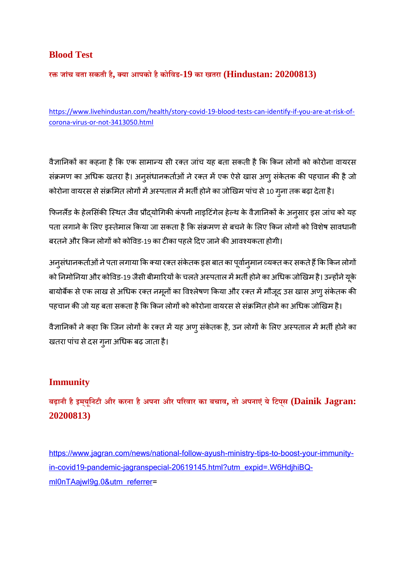## **Blood Test**

**रजांच बता सकती है, या आपको हैकोिवड-19 का खतरा (Hindustan: 20200813)**

https://www.livehindustan.com/health/story-covid-19-blood-tests-can-identify-if-you-are-at-risk-ofcorona-virus-or-not-3413050.html

वैज्ञानिकों का कहना है कि एक सामान्य सी रक्त जांच यह बता सकती है कि किन लोगों को कोरोना वायरस संक्रमण का अधिक खतरा है। अनुसंधानकर्ताओं ने रक्त में एक ऐसे खास अणु संकेतक की पहचान की है जो कोरोना वायरस से संक्रमित लोगों में अस्पताल में भर्ती होने का जोखिम पांच से 10 गुना तक बढ़ा देता है।

फिनलैंड के हेलसिंकी स्थित जैव प्रौद्योगिकी कंपनी नाइटिंगेल हेल्थ के वैज्ञानिकों के अनुसार इस जांच को यह पता लगाने के लिए इस्तेमाल किया जा सकता है कि संक्रमण से बचने के लिए किन लोगों को विशेष सावधानी बरतने और किन लोगों को कोविड-19 का टीका पहले दिए जाने की आवश्यकता होगी।

अनुसंधानकर्ताओं ने पता लगाया कि क्या रक्त संकेतक इस बात का पूर्वान् मान व्यक्त कर सकते हैं कि किन लोगों को निमोनिया और कोविड-19 जैसी बीमारियों के चलते अस्पताल में भर्ती होने का अधिक जोखिम है। उन्होंने यूके बायोबैंक से एक लाख से अधिक रक्त नमूनों का विश्लेषण किया और रक्त में मौजूद उस खास अणु संकेतक की पहचान की जो यह बता सकता है कि किन लोगों को कोरोना वायरस से संक्रमित होने का अधिक जोखिम है।

वैज्ञानिकों ने कहा कि जिन लोगों के रक्त में यह अणु संकेतक है, उन लोगों के लिए अस्पताल में भर्ती होने का खतरा पांच से दस गुना अधिक बढ़ जाता है।

# **Immunity**

**बढ़ानी हैइमय्ूिनटी और करना हैअपना और परवार का बचाव, तो अपनाएं येिटपस् (Dainik Jagran: 20200813)**

https://www.jagran.com/news/national-follow-ayush-ministry-tips-to-boost-your-immunityin-covid19-pandemic-jagranspecial-20619145.html?utm\_expid=.W6HdjhiBQml0nTAajwI9g.0&utm\_referrer=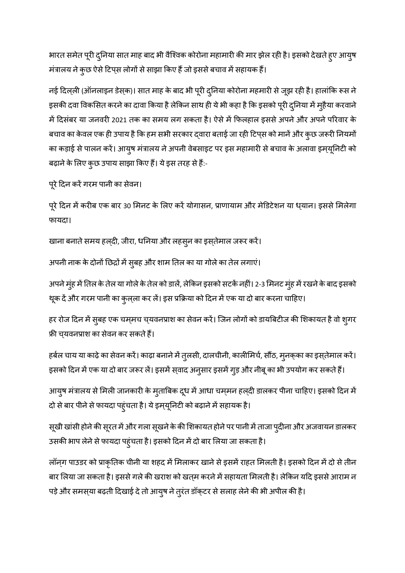भारत समेत पूरी दुनिया सात माह बाद भी वैश्विक कोरोना महामारी की मार झेल रही है। इसको देखते हुए आयुष मंत्रालय ने कुछ ऐसे टिप्स लोगों से साझा किए हैं जो इससे बचाव में सहायक हैं।

नई दिल्ली (ऑनलाइन डेस्क)। सात माह के बाद भी पूरी दुनिया कोरोना महमारी से जूझ रही है। हालांकि रूस ने इसकी दवा विकसित करने का दावा किया है लेकिन साथ ही ये भी कहा है कि इसको पूरी दुनिया में मुहैया करवाने में दिसंबर या जनवरी 2021 तक का समय लग सकता है। ऐसे में फिलहाल इससे अपने और अपने परिवार के बचाव का केवल एक ही उपाय है कि हम सभी सरकार दवारा बताई जा रही टिप्स को मानें और कुछ जरूरी नियमों का कड़ाई से पालन करें। आयुष मंत्रालय ने अपनी वेबसाइट पर इस महामारी से बचाव के अलावा इम्यूनिटी को बढ़ाने के लिए कुछ उपाय साझा किए हैं। ये इस तरह से हैं:-

पूरे दिन करें गरम पानी का सेवन।

पूरे दिन में करीब एक बार 30 मिनट के लिए करें योगासन, प्राणायाम और मेडिटेशन या ध्यान। इससे मिलेगा फायदा।

खाना बनाते समय हल्दी, जीरा, धनिया और लहसुन का इस्तेमाल जरूर करें।

अपनी नाक के दोनों छिद्रों में सुबह और शाम तिल का या गोले का तेल लगाएं।

अपने मुंह में तिल के तेल या गोले के तेल को डालें, लेकिन इसको सटकें नहीं। 2-3 मिनट मुंह में रखने के बाद इसको थूक दें और गरम पानी का कुल्ला कर लें। इस प्रक्रिया को दिन में एक या दो बार करना चाहिए।

हर रोज दिन में सुबह एक चम्मच च्यवनप्राश का सेवन करें। जिन लोगों को डायबिटीज की शिकायत है वो शुगर फ्री च्यवनप्राश का सेवन कर सकते हैं।

हर्बल चाय या काढ़े का सेवन करें। काढ़ा बनाने में तुलसी, दालचीनी, कालीमिर्च, सौंठ, मुनक्का का इस्तेमाल करें। इसको दिन में एक या दो बार जरूर लें। इसमें स्**वाद अन्**सार इसमें ग्**ड़ और नीबू का भी उपयोग कर सकते** हैं।

आयुष मंत्रालय से मिली जानकारी के मुताबिक दूध में आधा चम्मन हल्दी डालकर पीना चाहिए। इसको दिन में दो से बार पीने से फायदा पहुंचता है। ये इम्प्यूनिटी को बढ़ाने में सहायक है।

सूखी खांसी होने की सूरत में और गला सूखने के की शिकायत होने पर पानी में ताजा प्दीना और अजवायन डालकर उसकी भाप लेने से फायदा पहुंचता है। इसको दिन में दो बार लिया जा सकता है।

लॉन्ग पाउडर को प्राकृतिक चीनी या शहद में मिलाकर खाने से इसमें राहत मिलती है। इसको दिन में दो से तीन बार लिया जा सकता है। इससे गले की खराश को खत्म करने में सहायता मिलती है। लेकिन यदि इससे आराम न पड़े और समस्या बढ़ती दिखाई दे तो आयुष ने तुरंत डॉक्टर से सलाह लेने की भी अपील की है।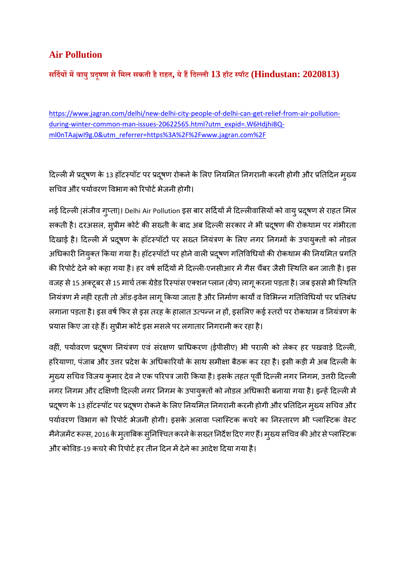# **Air Pollution**

**सिदयमवायुदूषण सेिमल सकती हैराहत, येहिदली 13 हॉट पॉट (Hindustan: 2020813)**

https://www.jagran.com/delhi/new-delhi-city-people-of-delhi-can-get-relief-from-air-pollutionduring-winter-common-man-issues-20622565.html?utm\_expid=.W6HdjhiBQml0nTAajwI9g.0&utm\_referrer=https%3A%2F%2Fwww.jagran.com%2F

दिल्ली में प्रदूषण के 13 हॉटस्पॉट पर प्रदूषण रोकने के लिए नियमित निगरानी करनी होगी और प्रतिदिन मुख्य सचिव और पर्यावरण विभाग को रिपोर्ट भेजनी होगी।

नई दिल्ली [संजीव गुप्ता]। Delhi Air Pollution इस बार सर्दियों में दिल्लीवासियों को वायु प्रदूषण से राहत मिल सकती है। दरअसल, सुप्रीम कोर्ट की सख्ती के बाद अब दिल्ली सरकार ने भी प्रदूषण की रोकथाम पर गंभीरता दिखाई है। दिल्ली में प्रदूषण के हॉटस्पॉटों पर सख्त नियंत्रण के लिए नगर निगमों के उपायुक्तों को नोडल अधिकारी नियुक्त किया गया है। हॉटस्पॉटों पर होने वाली प्रदूषण गतिविधियों की रोकथाम की नियमित प्रगति की रिपोर्ट देने को कहा गया है। हर वर्ष सर्दियों में दिल्ली-एनसीआर में गैस चैंबर जैसी स्थिति बन जाती है। इस वजह से 15 अक्टूबर से 15 मार्च तक ग्रेडेड रिस्पांस एक्शन प्लान (ग्रेप) लागू करना पड़ता है। जब इससे भी स्थिति नियंत्रण में नहीं रहती तो ऑड-इवेन लागू किया जाता है और निर्माण कार्यों व विभिन्न गतिविधियों पर प्रतिबंध लगाना पड़ता है। इस वर्ष फिर से इस तरह के हालात उत्पन्न न हों, इसलिए कई स्तरों पर रोकथाम व नियंत्रण के प्रयास किए जा रहे हैं। सुप्रीम कोर्ट इस मसले पर लगातार निगरानी कर रहा है।

वहीं, पर्यावरण प्रदूषण नियंत्रण एवं संरक्षण प्राधिकरण (ईपीसीए) भी पराली को लेकर हर पखवाड़े दिल्ली, हरियाणा, पंजाब और उत्तर प्रदेश के अधिकारियों के साथ समीक्षा बैठक कर रहा है। इसी कड़ी में अब दिल्ली के मुख्य सचिव विजय कुमार देव ने एक परिपत्र जारी किया है। इसके तहत पूर्वी दिल्ली नगर निगम, उत्तरी दिल्ली नगर निगम और दक्षिणी दिल्ली नगर निगम के उपायुक्तों को नोडल अधिकारी बनाया गया है। इन्हें दिल्ली में प्रदूषण के 13 हॉटस्पॉट पर प्रदूषण रोकने के लिए नियमित निगरानी करनी होगी और प्रतिदिन मुख्य सचिव और पर्यावरण विभाग को रिपोर्ट भेजनी होगी। इसके अलावा प्लास्टिक कचरे का निस्तारण भी प्लास्टिक वेस्ट मैनेजमेंट रूल्स, 2016 के मुताबिक सुनिश्चित करने के सख्त निर्देश दिए गए हैं। मुख्य सचिव की ओर से प्लास्टिक और कोविड-19 कचरे की रिपोर्ट हर तीन दिन में देने का आदेश दिया गया है।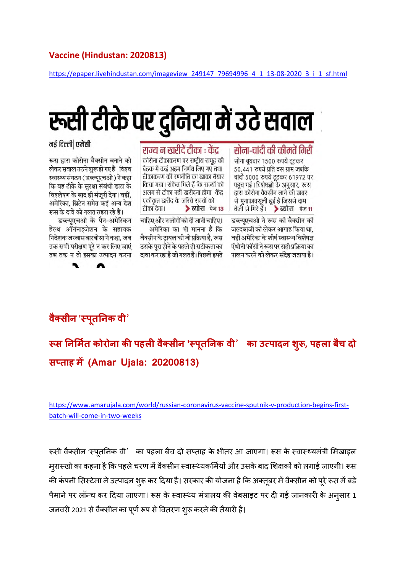#### **Vaccine (Hindustan: 2020813)**

https://epaper.livehindustan.com/imageview\_249147\_79694996\_4\_1\_13-08-2020\_3\_i\_1\_sf.html

# रूसी टीके पर दुनिया में उटे सवाल

#### सोना-चांदी की कीमतें गिरीं

सोना बुधवार 1500 रुपये टटकर 50,441 रुपये प्रति दस ग्राम जबकि चांदी 5000 रुपये टूटकर 61972 पर पहुंच गई। विशेषज्ञों के अनुसार, रूस द्वारा कोरोना वैक्सीन लाने की खबर से मुनाफावसुली हुई है जिससे दाम तेजी से गिरे हैं। > ब्योरा फेन 11

डब्ल्यूएचओ ने रूस की वैक्सीन की जल्दबाजी को लेकर आगाह किया था. वहीं अमेरिका के शीर्ष स्वास्थ्य विशेषज्ञ एंथोनी फॉसी ने रूस पर सही प्रक्रिया का पालन करने को लेकर संदेह जताया है।

#### राज्य न खरीदें टीका : केंद कोरोना टीकाकरण पर राष्टीय समह की

बैठक में कई अहम निर्णय लिए गए तथा टीकाकरण की रणनीति का खाका तैयार किया गया। संकेत मिले हैं कि राज्यों को अलग से टीका नहीं खरीदना होगा। केंद्र एकीकृत खरीद के जरिये राज्यों को टीका देगा। > ब्योरा पेज 13

चाहिए और न लोगों को दी जानी चाहिए। अमेरिका का भी मानना है कि वैक्सीन के ट्रायल की जो प्रक्रिया है, रूस उसके पुरा होने के पहले ही सटीकता का दावा कर रहा है जो गलत है। पिछले हफ्ते

नई दिल्ली एजेंसी

रूस द्वारा कोरोना वैक्सीन बनाने को लेकर सवाल उठने शुरू हो गए हैं। विश्व स्वास्थ्य संगठन (डब्ल्यएचओ) ने कहा कि वह टीके के सुरक्षा संबंधी डाटा के विश्लेषण के बाद ही मंजूरी देगा। वहीं, अमेरिका, ब्रिटेन समेत कई अन्य देश रूस के दावे को गलत ठहरा रहे हैं।

डब्ल्युएचओ के पैन-अमेरिकन हेल्थ ऑर्गनाइजेशन के सहायक निदेशक जरबास बारबोसा ने कहा, जब तक सभी परीक्षण पूरे न कर लिए जाएं तब तक न तो इसका उत्पादन करना



 **स नमत कोरोना कपहलवै सीन 'पतू नक वी**' **का उपादन शु , पहला बचै दो सताह म(Amar Ujala: 20200813)**

https://www.amarujala.com/world/russian-coronavirus-vaccine-sputnik-v-production-begins-firstbatch-will-come-in-two-weeks

रूसी वैक्सीन 'स्पतनिक वी' का पहला बैच दो सप्ताह के भीतर आ जाएगा। रूस के स्वास्थ्यमंत्री मिखाइल मरास्खो का कहना है कि पहले चरण में वैक्सीन स्वास्थ्यकर्मियों और उसके बाद शिक्षकों को लगाई जाएगी। रूस की कंपनी सिस्टेमा ने उत्पादन शुरू कर दिया है। सरकार की योजना है कि अक्तूबर में वैक्सीन को पूरे रूस में बड़े पैमाने पर लॉन्च कर दिया जाएगा। रूस के स्वास्थ्य मंत्रालय की वेबसाइट पर दी गई जानकारी के अनुसार 1 जनवरी 2021 से वैक्सीन का पर्ण रूप से वितरण शुरू करने की तैयारी है।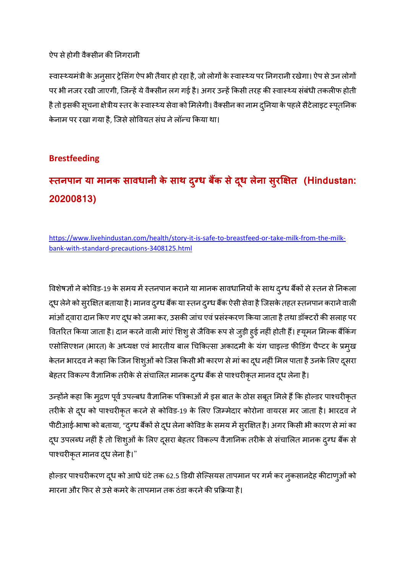#### ऐप से होगी वैक्सीन की निगरानी

स्वास्थ्यमंत्री के अनुसार ट्रेसिंग ऐप भी तैयार हो रहा है, जो लोगों के स्वास्थ्य पर निगरानी रखेगा। ऐप से उन लोगों पर भी नजर रखी जाएगी, जिन्हें ये वैक्सीन लग गई है। अगर उन्हें किसी तरह की स्वास्थ्य संबंधी तकलीफ होती है तो इसकी सूचना क्षेत्रीय स्तर के स्वास्थ्य सेवा को मिलेगी। वैक्सीन का नाम दुनिया के पहले सैटेलाइट स्पूतनिक केनाम पर रखा गया है, जिसे सोवियत संघ ने लॉन्च किया था।

### **Brestfeeding**

# **तनपान या मानक सावधानी के साथ द ु ध बक सेदध ू लेना सरु त (Hindustan: 20200813)**

https://www.livehindustan.com/health/story-it-is-safe-to-breastfeed-or-take-milk-from-the-milkbank-with-standard-precautions-3408125.html

विशेषज्ञों ने कोविड-19 के समय में स्तनपान कराने या मानक सावधानियों के साथ द्र्ग्ध बैंकों से स्तन से निकला दूध लेने को सुरक्षित बताया है। मानव दुग्ध बैंक या स्तन दुग्ध बैंक ऐसी सेवा है जिसके तहत स्तनपान कराने वाली मांओं दवारा दान किए गए दूध को जमा कर, उसकी जांच एवं प्रसंस्करण किया जाता है तथा डॉक्टरों की सलाह पर वितरित किया जाता है। दान करने वाली मांएं शिश् से जैविक रूप से जुड़ी हुई नहीं होती हैं। ह्यूमन मिल्क बैंकिंग एसोसिएशन (भारत) के अध्यक्ष एवं भारतीय बाल चिकित्सा अकादमी के यंग चाइल्ड फीडिंग चैप्टर के प्रमुख केतन भारदव ने कहा कि जिन शिश्ओं को जिस किसी भी कारण से मां का दूध नहीं मिल पाता है उनके लिए दूसरा बेहतर विकल्प वैज्ञानिक तरीके से संचालित मानक दुग्ध बैंक से पाश्चरीकृत मानव दूध लेना है।

उन्होंने कहा कि मुद्रण पूर्व उपल्बध वैज्ञानिक पत्रिकाओं में इस बात के ठोस सबूत मिले हैं कि होल्डर पाश्चरीकृत तरीके से दूध को पाश्चरीकृत करने से कोविड-19 के लिए जिम्मेदार कोरोना वायरस मर जाता है। भारदव ने पीटीआई-भाषा को बताया, "दुग्ध बैंकों से दूध लेना कोविड के समय में सुरक्षित है। अगर किसी भी कारण से मां का दूध उपलब्ध नहीं है तो शिश्ओं के लिए दूसरा बेहतर विकल्प वैज्ञानिक तरीके से संचालित मानक द्रग्ध बैंक से पाश्चरीकृत मानव दूध लेना है।"

होल्डर पाश्चरीकरण दूध को आधे घंटे तक 62.5 डिग्री सेल्सियस तापमान पर गर्म कर नुकसानदेह कीटाण्ओं को मारना और फिर से उसे कमरे के तापमान तक ठंडा करने की प्रक्रिया है।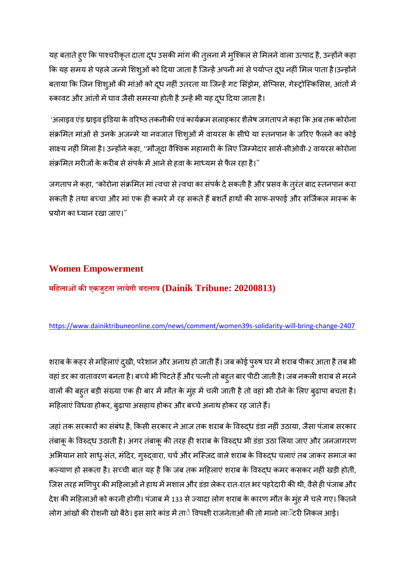यह बताते हुए कि पाश्चरीकृत दाता दूध उसकी मांग की तुलना में मुश्किल से मिलने वाला उत्पाद है, उन्होंने कहा कि यह समय से पहले जन्मे शिश्ओं को दिया जाता है जिन्हें अपनी मां से पर्याप्त दूध नहीं मिल पाता है।उन्होंने बताया कि जिन शिश्ओं की मांओं को दूध नहीं उतरता या जिन्हें गट सिंड्रोम, सेप्सिस, गेस्ट्रोस्किसिस, आंतों में रुकावट और आंतों में घाव जैसी समस्या होती है उन्हें भी यह दूध दिया जाता है।

'अलाइव एंड थ्राइव इंडिया के वरिष्ठ तकनीकी एवं कार्यक्रम सलाहकार शैलेष जगताप ने कहा कि अब तक कोरोना संक्रमित मांओं से उनके अजन्मे या नवजात शिश्ओं में वायरस के सीधे या स्तनपान के जरिए फैलने का कोई साक्ष्य नहीं मिला है। उन्होंने कहा, ''मौजूदा वैश्विक महामारी के लिए जिम्मेदार सार्स-सीओवी-2 वायरस कोरोना संक्रमित मरीजों के करीब से संपर्क में आने से हवा के माध्यम से फैल रहा है।"

जगताप ने कहा, "कोरोना संक्रमित मां त्वचा से त्वचा का संपर्क दे सकती है और प्रसव के तुरंत बाद स्तनपान करा सकती है तथा बच्चा और मां एक ही कमरे में रह सकते हैं बशर्ते हाथों की साफ-सफाई और सर्जिकल मास्क के योग का यान रखा जाए।"

# **Women Empowerment**

**मिहलाओंकएकजुटता लायेगी बदलाव (Dainik Tribune: 20200813)**

#### https://www.dainiktribuneonline.com/news/comment/women39s-solidarity-will-bring-change-2407

शराब के कहर से महिलाएं द्खी, परेशान और अनाथ हो जाती हैं। जब कोई पुरुष घर में शराब पीकर आता है तब भी वहां डर का वातावरण बनता है। बच्चे भी पिटते हैं और पत्नी तो बहुत बार पीटी जाती है। जब नकली शराब से मरने वालों की बहुत बड़ी संख्या एक ही बार में मौत के मुंह में चली जाती है तो वहां भी रोने के लिए बुढ़ापा बचता है। महिलाएं विधवा होकर, बढ़ापा असहाय होकर और बच्चे अनाथ होकर रह जाते हैं।

जहां तक सरकारों का संबंध है, किसी सरकार ने आज तक शराब के विरुद्ध डंडा नहीं उठाया, जैसा पंजाब सरकार तंबाकू के विरुद्ध उठाती है। अगर तंबाकू की तरह ही शराब के विरुद्ध भी डंडा उठा लिया जाए और जनजागरण अभियान सारे साध्-संत, मंदिर, गुरुद्वारा, चर्च और मस्जिद वाले शराब के विरुद्ध चलाएं तब जाकर समाज का कल्याण हो सकता है। सच्ची बात यह है कि जब तक महिलाएं शराब के विरुद्ध कमर कसकर नहीं खड़ी होतीं, जिस तरह मणिपुर की महिलाओं ने हाथ में मशाल और डंडा लेकर रात-रात भर पहरेदारी की थी, वैसे ही पंजाब और देश की महिलाओं को करनी होगी। पंजाब में 133 से ज्यादा लोग शराब के कारण मौत के मुंह में चले गए। कितने

लोग आंखों की रोशनी खो बैठे। इस सारे कांड में ताे विपक्षी राजनेताओं की तो मानो लाॅटरी निकल आई।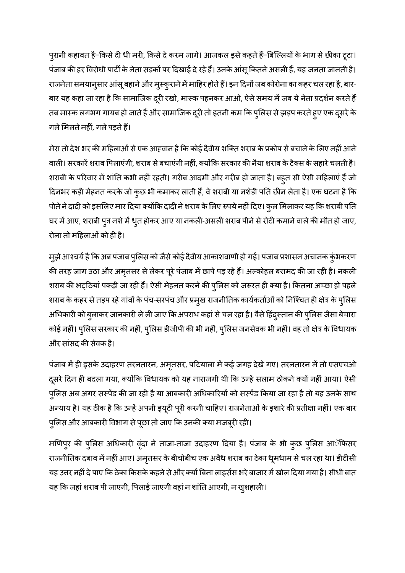पुरानी कहावत है–किसे दी धी मरी, किसे दे करम जागे। आजकल इसे कहते हैं–बिल्लियों के भाग से छीका टूटा। पंजाब की हर विरोधी पार्टी के नेता सड़कों पर दिखाई दे रहे हैं। उनके आंसू कितने असली हैं, यह जनता जानती है। राजनेता समयानुसार आंसू बहाने और मुस्कुराने में माहिर होते हैं। इन दिनों जब कोरोना का कहर चल रहा है, बार-बार यह कहा जा रहा है कि सामाजिक दूरी रखो, मास्क पहनकर आओ, ऐसे समय में जब ये नेता प्रदर्शन करते हैं तब मास्क लगभग गायब हो जाते हैं और सामाजिक दूरी तो इतनी कम कि पुलिस से झड़प करते हुए एक दूसरे के गले मिलते नहीं, गले पड़ते हैं।

मेरा तो देश भर की महिलाओं से एक आहवान है कि कोई दैवीय शक्ति शराब के प्रकोप से बचाने के लिए नहीं आने वाली। सरकारें शराब पिलाएंगी, शराब से बचाएंगी नहीं, क्योंकि सरकार की नैया शराब के टैक्स के सहारे चलती है। शराबी के परिवार में शांति कभी नहीं रहती। गरीब आदमी और गरीब हो जाता है। बहुत सी ऐसी महिलाएं हैं जो दिनभर कड़ी मेहनत करके जो कुछ भी कमाकर लाती हैं, वे शराबी या नशेड़ी पति छीन लेता है। एक घटना है कि पोते ने दादी को इसलिए मार दिया क्योंकि दादी ने शराब के लिए रुपये नहीं दिए। कुल मिलाकर यह कि शराबी पति घर में आए, शराबी पुत्र नशे में धुत होकर आए या नकली-असली शराब पीने से रोटी कमाने वाले की मौत हो जाए, रोना तो महिलाओं को ही है।

मुझे आश्चर्य है कि अब पंजाब पुलिस को जैसे कोई दैवीय आकाशवाणी हो गई। पंजाब प्रशासन अचानक कुंभकरण की तरह जाग उठा और अमृतसर से लेकर पूरे पंजाब में छापे पड़ रहे हैं। अल्कोहल बरामद की जा रही है। नकली शराब की भट्ठियां पकड़ी जा रही हैं। ऐसी मेहनत करने की पुलिस को जरूरत ही क्या है। कितना अच्छा हो पहले शराब के कहर से तड़प रहे गांवों के पंच-सरपंच और प्रमुख राजनीतिक कार्यकर्ताओं को निश्चित ही क्षेत्र के पुलिस अधिकारी को बुलाकर जानकारी ले ली जाए कि अपराध कहां से चल रहा है। वैसे हिंदुस्तान की पुलिस जैसा बेचारा कोई नहीं। पुलिस सरकार की नहीं, पुलिस डीजीपी की भी नहीं, पुलिस जनसेवक भी नहीं। वह तो क्षेत्र के विधायक और सांसद की सेवक है।

पंजाब में ही इसके उदाहरण तरनतारन, अमृतसर, पटियाला में कई जगह देखे गए। तरनतारन में तो एसएचओ दूसरे दिन ही बदला गया, क्योंकि विधायक को यह नाराजगी थी कि उन्हें सलाम ठोकने क्यों नहीं आया। ऐसी पुलिस अब अगर सस्पेंड की जा रही है या आबकारी अधिकारियों को सस्पेंड किया जा रहा है तो यह उनके साथ अन्याय है। यह ठीक है कि उन्हें अपनी ड्यूटी पूरी करनी चाहिए। राजनेताओं के इशारे की प्रतीक्षा नहीं। एक बार पुलिस और आबकारी विभाग से पूछा तो जाए कि उनकी क्या मजबूरी रही।

मणिपुर की पुलिस अधिकारी वृंदा ने ताजा-ताजा उदाहरण दिया है। पंजाब के भी कुछ पुलिस आॅफिसर राजनीतिक दबाव में नहीं आए। अमृतसर के बीचोबीच एक अवैध शराब का ठेका धूमधाम से चल रहा था। डीटीसी यह उत्तर नहीं दे पाए कि ठेका किसके कहने से और क्यों बिना लाइसेंस भरे बाजार में खोल दिया गया है। सीधी बात यह कि जहां शराब पी जाएगी, पिलाई जाएगी वहां न शांति आएगी, न खुशहाली।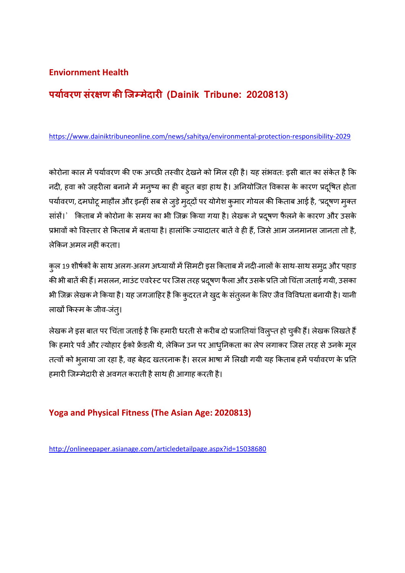#### **Enviornment Health**

# **पयावरण संर ण किजमेदार (Dainik Tribune: 2020813)**

https://www.dainiktribuneonline.com/news/sahitya/environmental-protection-responsibility-2029

कोरोना काल में पर्यावरण की एक अच्छी तस्वीर देखने को मिल रही है। यह संभवत: इसी बात का संकेत है कि नदी, हवा को जहरीला बनाने में मनुष्य का ही बहुत बड़ा हाथ है। अनियोजित विकास के कारण प्रदूषित होता पर्यावरण, दमघोटू माहौल और इन्हीं सब से जुड़े मुद्दों पर योगेश कुमार गोयल की किताब आई है, 'प्रदूषण मुक्त सांसें।' किताब में कोरोना के समय का भी जिक्र किया गया है। लेखक ने प्रदूषण फैलने के कारण और उसके प्रभावों को विस्तार से किताब में बताया है। हालांकि ज्यादातर बातें वे ही हैं, जिसे आम जनमानस जानता तो है, लेकिन अमल नहीं करता।

कुल 19 शीर्षकों के साथ अलग-अलग अध्यायों में सिमटी इस किताब में नदी-नालों के साथ-साथ समुद्र और पहाड़ की भी बातें की हैं। मसलन, माउंट एवरेस्ट पर जिस तरह प्रदूषण फैला और उसके प्रति जो चिंता जताई गयी, उसका भी जिक्र लेखक ने किया है। यह जगजाहिर है कि कुदरत ने खुद के संतुलन के लिए जैव विविधता बनायी है। यानी लाखों किस्म के जीव-जंत्।

लेखक ने इस बात पर चिंता जताई है कि हमारी धरती से करीब दो प्रजातियां विलुप्त हो चुकी हैं। लेखक लिखते हैं कि हमारे पर्व और त्योहार ईको फ्रेंडली थे, लेकिन उन पर आधुनिकता का लेप लगाकर जिस तरह से उनके मूल तत्वों को भुलाया जा रहा है, वह बेहद खतरनाक है। सरल भाषा में लिखी गयी यह किताब हमें पर्यावरण के प्रति हमारी जिम्मेदारी से अवगत कराती है साथ ही आगाह करती है।

#### **Yoga and Physical Fitness (The Asian Age: 2020813)**

http://onlineepaper.asianage.com/articledetailpage.aspx?id=15038680